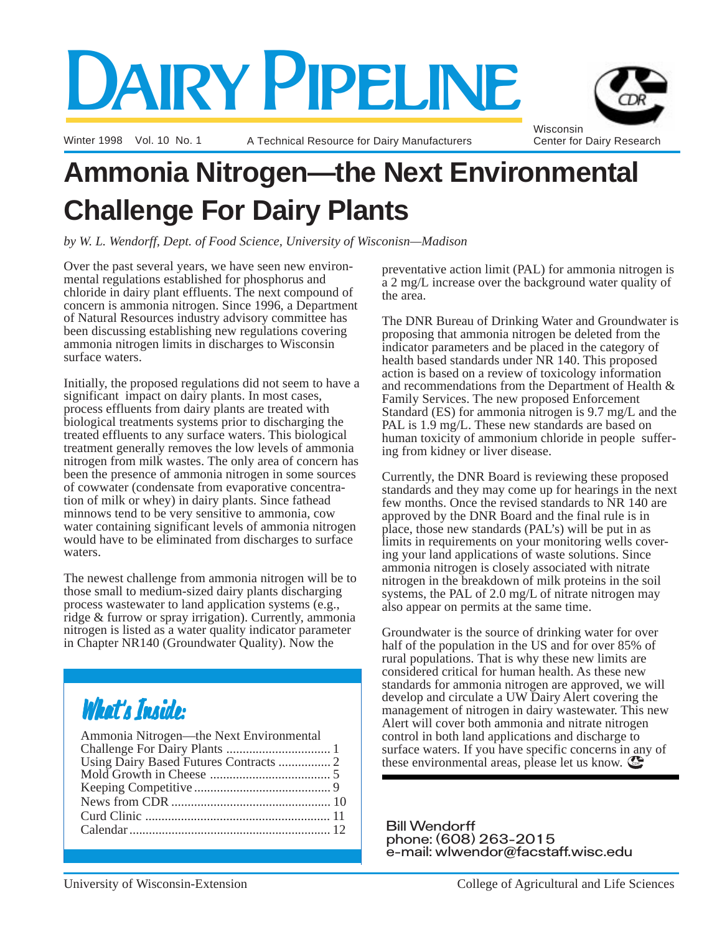# DAIRY PIPELINE

Winter 1998 Vol. 10 No. 1 **A Technical Resource for Dairy Manufacturers** 



# **Ammonia Nitrogen—the Next Environmental Challenge For Dairy Plants**

*by W. L. Wendorff, Dept. of Food Science, University of Wisconisn—Madison*

Over the past several years, we have seen new environmental regulations established for phosphorus and chloride in dairy plant effluents. The next compound of concern is ammonia nitrogen. Since 1996, a Department of Natural Resources industry advisory committee has been discussing establishing new regulations covering ammonia nitrogen limits in discharges to Wisconsin surface waters.

Initially, the proposed regulations did not seem to have a significant impact on dairy plants. In most cases, process effluents from dairy plants are treated with biological treatments systems prior to discharging the treated effluents to any surface waters. This biological treatment generally removes the low levels of ammonia nitrogen from milk wastes. The only area of concern has been the presence of ammonia nitrogen in some sources of cowwater (condensate from evaporative concentration of milk or whey) in dairy plants. Since fathead minnows tend to be very sensitive to ammonia, cow water containing significant levels of ammonia nitrogen would have to be eliminated from discharges to surface waters.

The newest challenge from ammonia nitrogen will be to those small to medium-sized dairy plants discharging process wastewater to land application systems (e.g., ridge & furrow or spray irrigation). Currently, ammonia nitrogen is listed as a water quality indicator parameter in Chapter NR140 (Groundwater Quality). Now the

# What's Inside:

| Ammonia Nitrogen-the Next Environmental |  |
|-----------------------------------------|--|
|                                         |  |
|                                         |  |
|                                         |  |
|                                         |  |
|                                         |  |
|                                         |  |
|                                         |  |
|                                         |  |

preventative action limit (PAL) for ammonia nitrogen is a 2 mg/L increase over the background water quality of the area.

The DNR Bureau of Drinking Water and Groundwater is proposing that ammonia nitrogen be deleted from the indicator parameters and be placed in the category of health based standards under NR 140. This proposed action is based on a review of toxicology information and recommendations from the Department of Health & Family Services. The new proposed Enforcement Standard (ES) for ammonia nitrogen is 9.7 mg/L and the PAL is 1.9 mg/L. These new standards are based on human toxicity of ammonium chloride in people suffering from kidney or liver disease.

Currently, the DNR Board is reviewing these proposed standards and they may come up for hearings in the next few months. Once the revised standards to NR 140 are approved by the DNR Board and the final rule is in place, those new standards (PAL's) will be put in as limits in requirements on your monitoring wells covering your land applications of waste solutions. Since ammonia nitrogen is closely associated with nitrate nitrogen in the breakdown of milk proteins in the soil systems, the PAL of 2.0 mg/L of nitrate nitrogen may also appear on permits at the same time.

these environmental areas, please let us know. Groundwater is the source of drinking water for over half of the population in the US and for over 85% of rural populations. That is why these new limits are considered critical for human health. As these new standards for ammonia nitrogen are approved, we will develop and circulate a UW Dairy Alert covering the management of nitrogen in dairy wastewater. This new Alert will cover both ammonia and nitrate nitrogen control in both land applications and discharge to surface waters. If you have specific concerns in any of

Bill Wendorff phone: (608) 263-2015 e-mail: wlwendor@facstaff.wisc.edu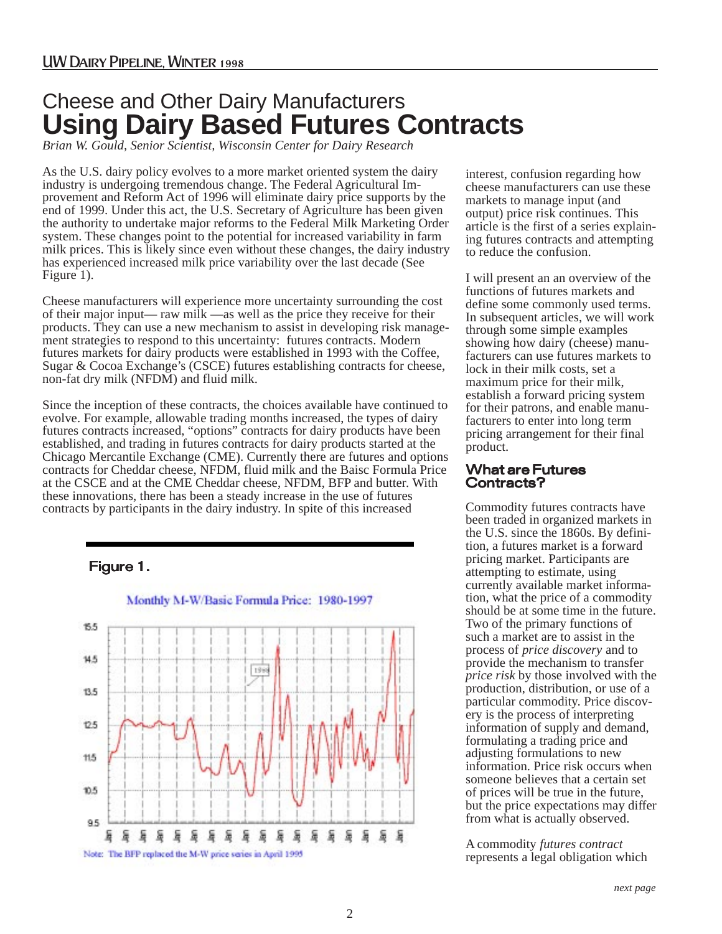## **Using Dairy Based Futures Contracts** Cheese and Other Dairy Manufacturers

*Brian W. Gould, Senior Scientist, Wisconsin Center for Dairy Research*

As the U.S. dairy policy evolves to a more market oriented system the dairy industry is undergoing tremendous change. The Federal Agricultural Improvement and Reform Act of 1996 will eliminate dairy price supports by the end of 1999. Under this act, the U.S. Secretary of Agriculture has been given the authority to undertake major reforms to the Federal Milk Marketing Order system. These changes point to the potential for increased variability in farm milk prices. This is likely since even without these changes, the dairy industry has experienced increased milk price variability over the last decade (See Figure 1).

Cheese manufacturers will experience more uncertainty surrounding the cost of their major input— raw milk —as well as the price they receive for their products. They can use a new mechanism to assist in developing risk management strategies to respond to this uncertainty: futures contracts. Modern futures markets for dairy products were established in 1993 with the Coffee, Sugar & Cocoa Exchange's (CSCE) futures establishing contracts for cheese, non-fat dry milk (NFDM) and fluid milk.

Since the inception of these contracts, the choices available have continued to evolve. For example, allowable trading months increased, the types of dairy futures contracts increased, "options" contracts for dairy products have been established, and trading in futures contracts for dairy products started at the Chicago Mercantile Exchange (CME). Currently there are futures and options contracts for Cheddar cheese, NFDM, fluid milk and the Baisc Formula Price at the CSCE and at the CME Cheddar cheese, NFDM, BFP and butter. With these innovations, there has been a steady increase in the use of futures contracts by participants in the dairy industry. In spite of this increased

#### Figure 1.



interest, confusion regarding how cheese manufacturers can use these markets to manage input (and output) price risk continues. This article is the first of a series explaining futures contracts and attempting to reduce the confusion.

I will present an an overview of the functions of futures markets and define some commonly used terms. In subsequent articles, we will work through some simple examples showing how dairy (cheese) manufacturers can use futures markets to lock in their milk costs, set a maximum price for their milk, establish a forward pricing system for their patrons, and enable manufacturers to enter into long term pricing arrangement for their final product.

#### What are Futures Contracts?

Commodity futures contracts have been traded in organized markets in the U.S. since the 1860s. By definition, a futures market is a forward pricing market. Participants are attempting to estimate, using currently available market information, what the price of a commodity should be at some time in the future. Two of the primary functions of such a market are to assist in the process of *price discovery* and to provide the mechanism to transfer *price risk* by those involved with the production, distribution, or use of a particular commodity. Price discovery is the process of interpreting information of supply and demand, formulating a trading price and adjusting formulations to new information. Price risk occurs when someone believes that a certain set of prices will be true in the future, but the price expectations may differ from what is actually observed.

A commodity *futures contract* represents a legal obligation which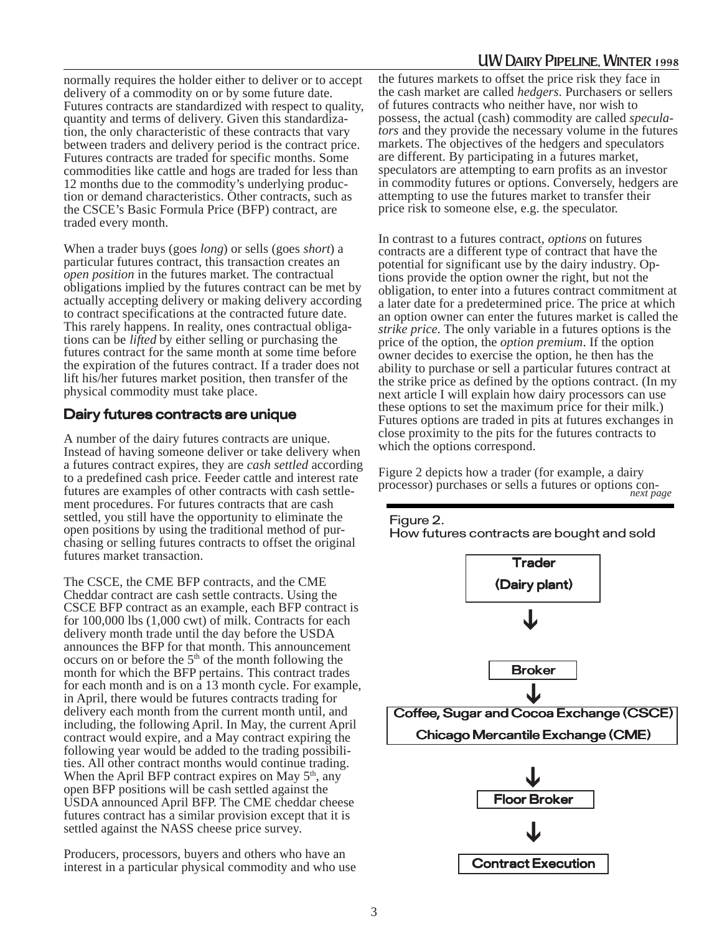normally requires the holder either to deliver or to accept delivery of a commodity on or by some future date. Futures contracts are standardized with respect to quality, quantity and terms of delivery. Given this standardization, the only characteristic of these contracts that vary between traders and delivery period is the contract price. Futures contracts are traded for specific months. Some commodities like cattle and hogs are traded for less than 12 months due to the commodity's underlying production or demand characteristics. Other contracts, such as the CSCE's Basic Formula Price (BFP) contract, are traded every month.

When a trader buys (goes *long*) or sells (goes *short*) a particular futures contract, this transaction creates an *open position* in the futures market. The contractual obligations implied by the futures contract can be met by actually accepting delivery or making delivery according to contract specifications at the contracted future date. This rarely happens. In reality, ones contractual obligations can be *lifted* by either selling or purchasing the futures contract for the same month at some time before the expiration of the futures contract. If a trader does not lift his/her futures market position, then transfer of the physical commodity must take place.

#### Dairy futures contracts are unique

A number of the dairy futures contracts are unique. Instead of having someone deliver or take delivery when a futures contract expires, they are *cash settled* according to a predefined cash price. Feeder cattle and interest rate futures are examples of other contracts with cash settlement procedures. For futures contracts that are cash settled, you still have the opportunity to eliminate the open positions by using the traditional method of purchasing or selling futures contracts to offset the original futures market transaction.

The CSCE, the CME BFP contracts, and the CME Cheddar contract are cash settle contracts. Using the CSCE BFP contract as an example, each BFP contract is for 100,000 lbs (1,000 cwt) of milk. Contracts for each delivery month trade until the day before the USDA announces the BFP for that month. This announcement occurs on or before the 5<sup>th</sup> of the month following the month for which the BFP pertains. This contract trades for each month and is on a 13 month cycle. For example, in April, there would be futures contracts trading for delivery each month from the current month until, and including, the following April. In May, the current April contract would expire, and a May contract expiring the following year would be added to the trading possibilities. All other contract months would continue trading. When the April BFP contract expires on May  $5<sup>th</sup>$ , any open BFP positions will be cash settled against the USDA announced April BFP. The CME cheddar cheese futures contract has a similar provision except that it is settled against the NASS cheese price survey.

Producers, processors, buyers and others who have an interest in a particular physical commodity and who use the futures markets to offset the price risk they face in the cash market are called *hedgers*. Purchasers or sellers of futures contracts who neither have, nor wish to possess, the actual (cash) commodity are called *speculators* and they provide the necessary volume in the futures markets. The objectives of the hedgers and speculators are different. By participating in a futures market, speculators are attempting to earn profits as an investor in commodity futures or options. Conversely, hedgers are attempting to use the futures market to transfer their price risk to someone else, e.g. the speculator.

In contrast to a futures contract, *options* on futures contracts are a different type of contract that have the potential for significant use by the dairy industry. Options provide the option owner the right, but not the obligation, to enter into a futures contract commitment at a later date for a predetermined price. The price at which an option owner can enter the futures market is called the *strike price*. The only variable in a futures options is the price of the option, the *option premium*. If the option owner decides to exercise the option, he then has the ability to purchase or sell a particular futures contract at the strike price as defined by the options contract. (In my next article I will explain how dairy processors can use these options to set the maximum price for their milk.) Futures options are traded in pits at futures exchanges in close proximity to the pits for the futures contracts to which the options correspond.



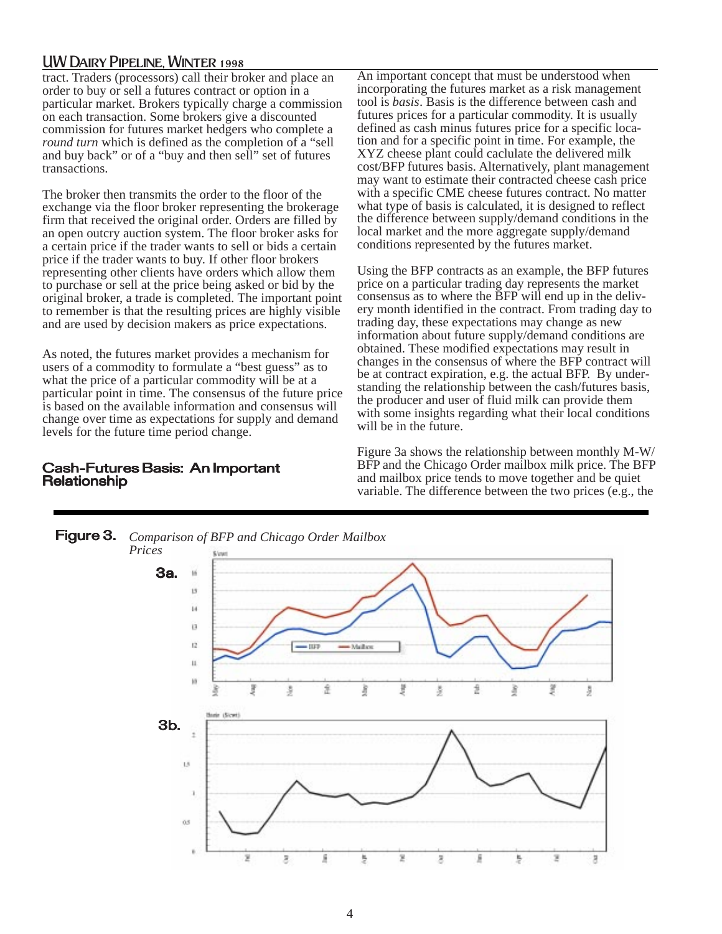tract. Traders (processors) call their broker and place an order to buy or sell a futures contract or option in a particular market. Brokers typically charge a commission on each transaction. Some brokers give a discounted commission for futures market hedgers who complete a *round turn* which is defined as the completion of a "sell and buy back" or of a "buy and then sell" set of futures transactions.

The broker then transmits the order to the floor of the exchange via the floor broker representing the brokerage firm that received the original order. Orders are filled by an open outcry auction system. The floor broker asks for a certain price if the trader wants to sell or bids a certain price if the trader wants to buy. If other floor brokers representing other clients have orders which allow them to purchase or sell at the price being asked or bid by the original broker, a trade is completed. The important point to remember is that the resulting prices are highly visible and are used by decision makers as price expectations.

As noted, the futures market provides a mechanism for users of a commodity to formulate a "best guess" as to what the price of a particular commodity will be at a particular point in time. The consensus of the future price is based on the available information and consensus will change over time as expectations for supply and demand levels for the future time period change.

#### Cash-Futures Basis: An Important **Relationship**

An important concept that must be understood when incorporating the futures market as a risk management tool is *basis*. Basis is the difference between cash and futures prices for a particular commodity. It is usually defined as cash minus futures price for a specific location and for a specific point in time. For example, the XYZ cheese plant could caclulate the delivered milk cost/BFP futures basis. Alternatively, plant management may want to estimate their contracted cheese cash price with a specific CME cheese futures contract. No matter what type of basis is calculated, it is designed to reflect the difference between supply/demand conditions in the local market and the more aggregate supply/demand conditions represented by the futures market.

Using the BFP contracts as an example, the BFP futures price on a particular trading day represents the market consensus as to where the BFP will end up in the delivery month identified in the contract. From trading day to trading day, these expectations may change as new information about future supply/demand conditions are obtained. These modified expectations may result in changes in the consensus of where the BFP contract will be at contract expiration, e.g. the actual BFP. By understanding the relationship between the cash/futures basis, the producer and user of fluid milk can provide them with some insights regarding what their local conditions will be in the future.

Figure 3a shows the relationship between monthly M-W/ BFP and the Chicago Order mailbox milk price. The BFP and mailbox price tends to move together and be quiet variable. The difference between the two prices (e.g., the

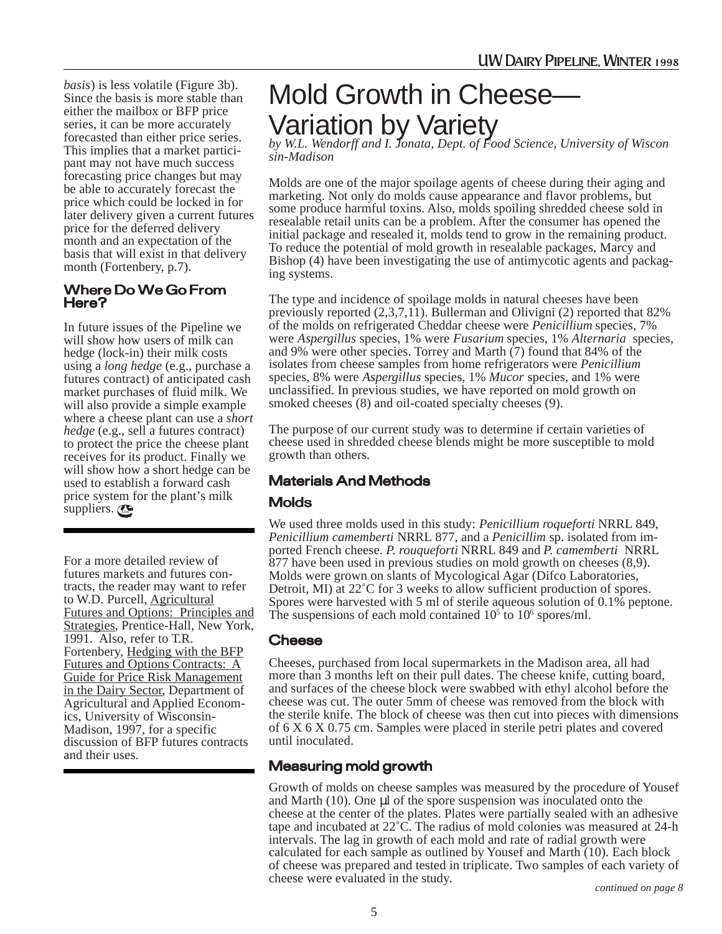*basis*) is less volatile (Figure 3b). Since the basis is more stable than either the mailbox or BFP price series, it can be more accurately forecasted than either price series. This implies that a market participant may not have much success forecasting price changes but may be able to accurately forecast the price which could be locked in for later delivery given a current futures price for the deferred delivery month and an expectation of the basis that will exist in that delivery month (Fortenbery, p.7).

#### Where Do We Go From Here?

In future issues of the Pipeline we will show how users of milk can hedge (lock-in) their milk costs using a *long hedge* (e.g., purchase a futures contract) of anticipated cash market purchases of fluid milk. We will also provide a simple example where a cheese plant can use a *short hedge* (e.g., sell a futures contract) to protect the price the cheese plant receives for its product. Finally we will show how a short hedge can be. used to establish a forward cash price system for the plant's milk suppliers.

For a more detailed review of futures markets and futures contracts, the reader may want to refer to W.D. Purcell, Agricultural Futures and Options: Principles and Strategies, Prentice-Hall, New York, 1991. Also, refer to T.R. Fortenbery, Hedging with the BFP Futures and Options Contracts: A Guide for Price Risk Management in the Dairy Sector, Department of Agricultural and Applied Economics, University of Wisconsin-Madison, 1997, for a specific discussion of BFP futures contracts and their uses.

# Mold Growth in Cheese— Variation by Variety

*by W.L. Wendorff and I. Jonata, Dept. of Food Science, University of Wiscon sin-Madison*

Molds are one of the major spoilage agents of cheese during their aging and marketing. Not only do molds cause appearance and flavor problems, but some produce harmful toxins. Also, molds spoiling shredded cheese sold in resealable retail units can be a problem. After the consumer has opened the initial package and resealed it, molds tend to grow in the remaining product. To reduce the potential of mold growth in resealable packages, Marcy and Bishop (4) have been investigating the use of antimycotic agents and packaging systems.

The type and incidence of spoilage molds in natural cheeses have been previously reported  $(2,3,7,1\bar{1})$ . Bullerman and Olivigni  $(2)$  reported that 82% of the molds on refrigerated Cheddar cheese were *Penicillium* species, 7% were *Aspergillus* species, 1% were *Fusarium* species, 1% *Alternaria* species, and 9% were other species. Torrey and Marth (7) found that 84% of the isolates from cheese samples from home refrigerators were *Penicillium* species, 8% were *Aspergillus* species, 1% *Mucor* species, and 1% were unclassified. In previous studies, we have reported on mold growth on smoked cheeses (8) and oil-coated specialty cheeses (9).

The purpose of our current study was to determine if certain varieties of cheese used in shredded cheese blends might be more susceptible to mold growth than others.

#### Materials And Methods

#### **Molds**

We used three molds used in this study: *Penicillium roqueforti* NRRL 849, *Penicillium camemberti* NRRL 877, and a *Penicillim* sp. isolated from imported French cheese. *P. rouqueforti* NRRL 849 and *P. camemberti* NRRL 877 have been used in previous studies on mold growth on cheeses (8,9). Molds were grown on slants of Mycological Agar (Difco Laboratories, Detroit, MI) at 22˚C for 3 weeks to allow sufficient production of spores. Spores were harvested with 5 ml of sterile aqueous solution of 0.1% peptone. The suspensions of each mold contained  $10<sup>5</sup>$  to  $10<sup>6</sup>$  spores/ml.

#### Cheese

Cheeses, purchased from local supermarkets in the Madison area, all had more than 3 months left on their pull dates. The cheese knife, cutting board, and surfaces of the cheese block were swabbed with ethyl alcohol before the cheese was cut. The outer 5mm of cheese was removed from the block with the sterile knife. The block of cheese was then cut into pieces with dimensions of 6 X 6 X 0.75 cm. Samples were placed in sterile petri plates and covered until inoculated.

#### Measuring mold growth

Growth of molds on cheese samples was measured by the procedure of Yousef and Marth  $(10)$ . One  $\mu$ l of the spore suspension was inoculated onto the cheese at the center of the plates. Plates were partially sealed with an adhesive tape and incubated at 22˚C. The radius of mold colonies was measured at 24-h intervals. The lag in growth of each mold and rate of radial growth were calculated for each sample as outlined by Yousef and Marth (10). Each block of cheese was prepared and tested in triplicate. Two samples of each variety of cheese were evaluated in the study. *continued on page 8*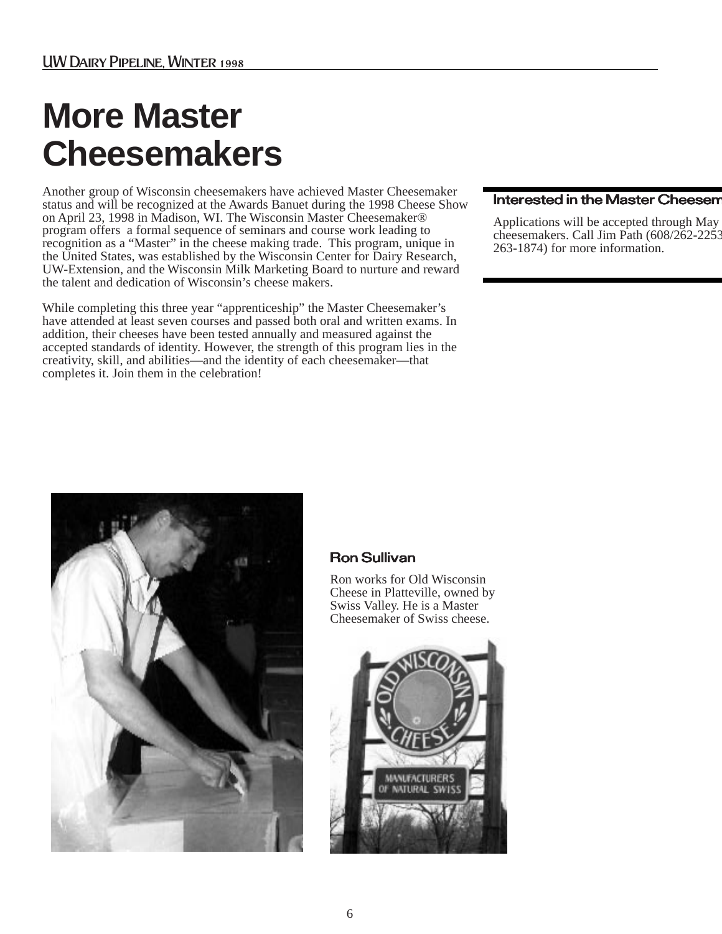# **More Master Cheesemakers**

Another group of Wisconsin cheesemakers have achieved Master Cheesemaker status and will be recognized at the Awards Banuet during the 1998 Cheese Show on April 23, 1998 in Madison, WI. The Wisconsin Master Cheesemaker® program offers a formal sequence of seminars and course work leading to recognition as a "Master" in the cheese making trade. This program, unique in the United States, was established by the Wisconsin Center for Dairy Research, UW-Extension, and the Wisconsin Milk Marketing Board to nurture and reward the talent and dedication of Wisconsin's cheese makers.

While completing this three year "apprenticeship" the Master Cheesemaker's have attended at least seven courses and passed both oral and written exams. In addition, their cheeses have been tested annually and measured against the accepted standards of identity. However, the strength of this program lies in the creativity, skill, and abilities—and the identity of each cheesemaker—that completes it. Join them in the celebration!

#### Interested in the Master Cheesem

Applications will be accepted through May cheesemakers. Call Jim Path (608/262-2253 263-1874) for more information.



#### Ron Sullivan

Ron works for Old Wisconsin Cheese in Platteville, owned by Swiss Valley. He is a Master Cheesemaker of Swiss cheese.

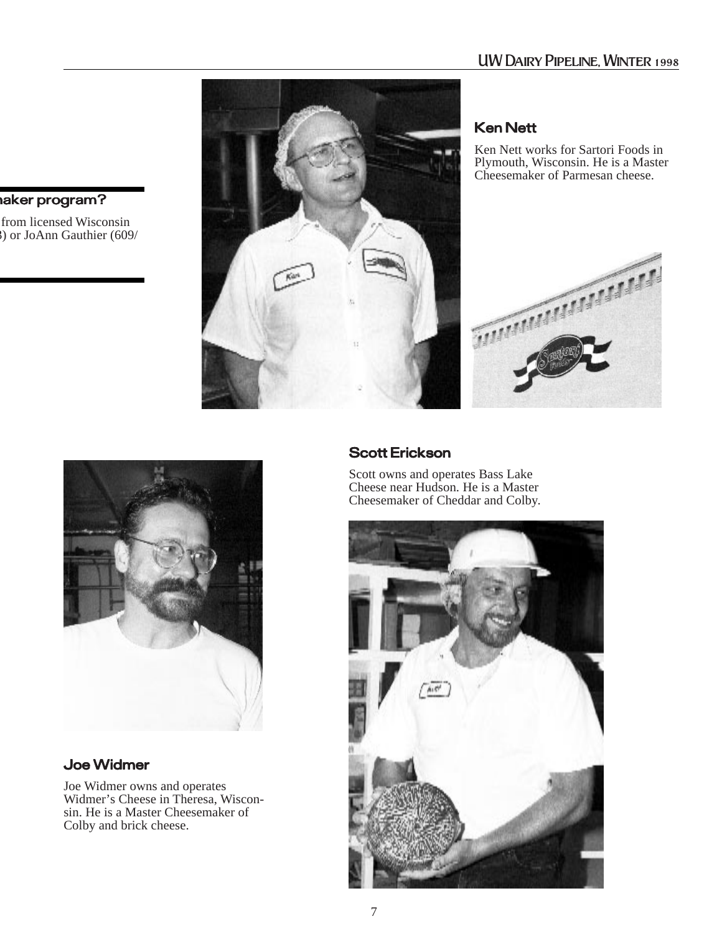

#### **Ken Nett**

Ken Nett works for Sartori Foods in Plymouth, Wisconsin. He is a Master Cheesemaker of Parmesan cheese.





#### Joe Widmer

Joe Widmer owns and operates Widmer's Cheese in Theresa, Wisconsin. He is a Master Cheesemaker of Colby and brick cheese.

#### Scott Erickson

Scott owns and operates Bass Lake Cheese near Hudson. He is a Master Cheesemaker of Cheddar and Colby.



#### maker program?

from licensed Wisconsin 3) or JoAnn Gauthier (609/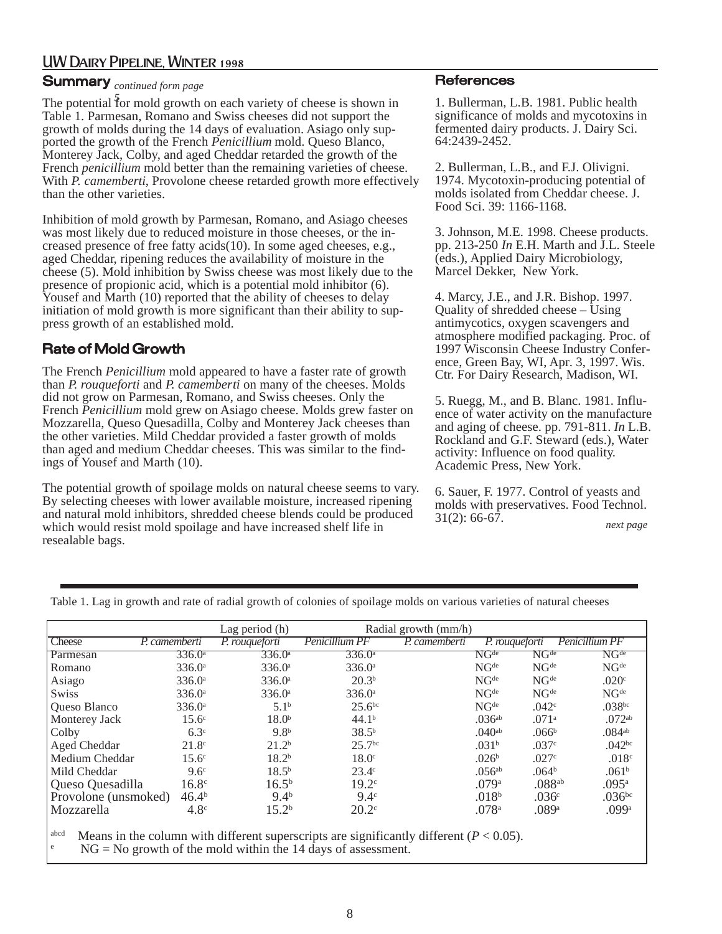#### Summary *continued form page*

The potential for mold growth on each variety of cheese is shown in *5*Table 1. Parmesan, Romano and Swiss cheeses did not support the growth of molds during the 14 days of evaluation. Asiago only supported the growth of the French *Penicillium* mold. Queso Blanco, Monterey Jack, Colby, and aged Cheddar retarded the growth of the French *penicillium* mold better than the remaining varieties of cheese. With *P. camemberti*, Provolone cheese retarded growth more effectively than the other varieties.

Inhibition of mold growth by Parmesan, Romano, and Asiago cheeses was most likely due to reduced moisture in those cheeses, or the increased presence of free fatty acids(10). In some aged cheeses, e.g., aged Cheddar, ripening reduces the availability of moisture in the cheese (5). Mold inhibition by Swiss cheese was most likely due to the presence of propionic acid, which is a potential mold inhibitor (6). Yousef and Marth (10) reported that the ability of cheeses to delay initiation of mold growth is more significant than their ability to suppress growth of an established mold.

#### Rate of Mold Growth

The French *Penicillium* mold appeared to have a faster rate of growth than *P. rouqueforti* and *P. camemberti* on many of the cheeses. Molds did not grow on Parmesan, Romano, and Swiss cheeses. Only the French *Penicillium* mold grew on Asiago cheese. Molds grew faster on Mozzarella, Queso Quesadilla, Colby and Monterey Jack cheeses than the other varieties. Mild Cheddar provided a faster growth of molds than aged and medium Cheddar cheeses. This was similar to the findings of Yousef and Marth (10).

The potential growth of spoilage molds on natural cheese seems to vary. By selecting cheeses with lower available moisture, increased ripening and natural mold inhibitors, shredded cheese blends could be produced which would resist mold spoilage and have increased shelf life in resealable bags.

#### **References**

1. Bullerman, L.B. 1981. Public health significance of molds and mycotoxins in fermented dairy products. J. Dairy Sci. 64:2439-2452.

2. Bullerman, L.B., and F.J. Olivigni. 1974. Mycotoxin-producing potential of molds isolated from Cheddar cheese. J. Food Sci. 39: 1166-1168.

3. Johnson, M.E. 1998. Cheese products. pp. 213-250 *In* E.H. Marth and J.L. Steele (eds.), Applied Dairy Microbiology, Marcel Dekker, New York.

4. Marcy, J.E., and J.R. Bishop. 1997. Quality of shredded cheese – Using antimycotics, oxygen scavengers and atmosphere modified packaging. Proc. of 1997 Wisconsin Cheese Industry Conference, Green Bay, WI, Apr. 3, 1997. Wis. Ctr. For Dairy Research, Madison, WI.

5. Ruegg, M., and B. Blanc. 1981. Influence of water activity on the manufacture and aging of cheese. pp. 791-811. *In* L.B. Rockland and G.F. Steward (eds.), Water activity: Influence on food quality. Academic Press, New York.

6. Sauer, F. 1977. Control of yeasts and molds with preservatives. Food Technol. 31(2): 66-67. *next page*

Table 1. Lag in growth and rate of radial growth of colonies of spoilage molds on various varieties of natural cheeses

|                      |                   | Lag period (h)     |                    | Radial growth (mm/h) |                                      |                             |                                      |
|----------------------|-------------------|--------------------|--------------------|----------------------|--------------------------------------|-----------------------------|--------------------------------------|
| Cheese               | P. camemberti     | P. rougueforti     | Penicillium PF     | P. camemberti        |                                      | P. rouqueforti              | Penicillium PF                       |
| Parmesan             | $336.0^{\circ}$   | 336.0a             | $336.0^{\circ}$    |                      | $\overline{\mathrm{NG}^\mathrm{de}}$ | $\mathrm{NG}^{\mathrm{de}}$ | $\overline{\mathrm{NG}^\mathrm{de}}$ |
| Romano               | 336.0a            | 336.0 <sup>a</sup> | 336.0a             |                      | NG <sup>de</sup>                     | NG <sup>de</sup>            | NG <sup>de</sup>                     |
| Asiago               | 336.0a            | 336.0 <sup>a</sup> | 20.3 <sup>b</sup>  |                      | NG <sup>de</sup>                     | NG <sup>de</sup>            | .020c                                |
| <b>Swiss</b>         | 336.0a            | 336.0 <sup>a</sup> | 336.0a             |                      | NG <sup>de</sup>                     | NG <sup>de</sup>            | NG <sup>de</sup>                     |
| Queso Blanco         | 336.0a            | 5.1 <sup>b</sup>   | 25.6 <sup>bc</sup> |                      | NG <sup>de</sup>                     | .042 <sup>c</sup>           | .038 <sub>bc</sub>                   |
| Monterey Jack        | 15.6 <sup>c</sup> | 18.0 <sup>b</sup>  | 44.1 <sup>b</sup>  |                      | $.036^{ab}$                          | .071 <sup>a</sup>           | .072 <sup>ab</sup>                   |
| Colby                | 6.3 <sup>c</sup>  | 9.8 <sup>b</sup>   | 38.5 <sup>b</sup>  |                      | $.040$ <sup>ab</sup>                 | .066 <sup>b</sup>           | $.084$ <sup>ab</sup>                 |
| Aged Cheddar         | 21.8 <sup>c</sup> | 21.2 <sup>b</sup>  | 25.7 <sup>bc</sup> |                      | .031 <sup>b</sup>                    | .037c                       | .042 <sup>bc</sup>                   |
| Medium Cheddar       | 15.6 <sup>c</sup> | 18.2 <sup>b</sup>  | $18.0^\circ$       |                      | .026 <sup>b</sup>                    | .027c                       | .018c                                |
| Mild Cheddar         | 9.6 <sup>c</sup>  | 18.5 <sup>b</sup>  | $23.4^\circ$       |                      | $.056^{ab}$                          | .064 <sup>b</sup>           | .061 <sup>b</sup>                    |
| Queso Quesadilla     | 16.8 <sup>c</sup> | $16.5^{b}$         | 19.2 <sup>c</sup>  |                      | .079a                                | $.088^{ab}$                 | .095a                                |
| Provolone (unsmoked) | 46.4 <sup>b</sup> | 9.4 <sup>b</sup>   | 9.4 <sup>c</sup>   |                      | .018 <sup>b</sup>                    | .036 <sup>c</sup>           | .036 <sup>bc</sup>                   |
| Mozzarella           | 4.8 <sup>c</sup>  | 15.2 <sup>b</sup>  | $20.2^{\circ}$     |                      | .078a                                | .089a                       | .099a                                |
|                      |                   |                    |                    |                      |                                      |                             |                                      |

Means in the column with different superscripts are significantly different  $(P < 0.05)$ .

e  $NG = No$  growth of the mold within the 14 days of assessment.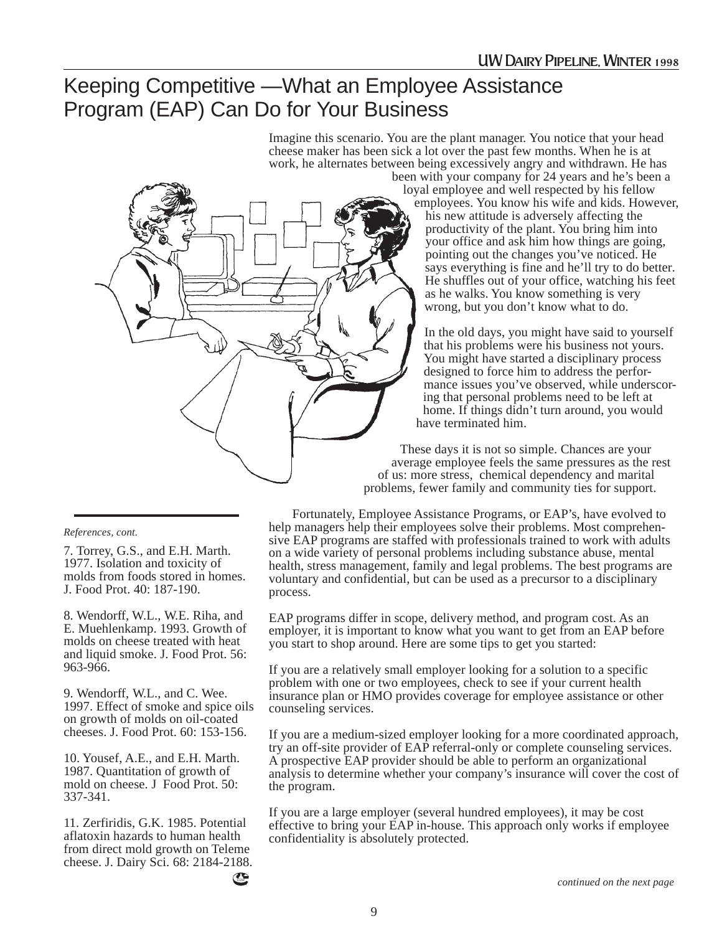### Keeping Competitive —What an Employee Assistance Program (EAP) Can Do for Your Business

Imagine this scenario. You are the plant manager. You notice that your head cheese maker has been sick a lot over the past few months. When he is at work, he alternates between being excessively angry and withdrawn. He has



been with your company for 24 years and he's been a loyal employee and well respected by his fellow employees. You know his wife and kids. However, his new attitude is adversely affecting the productivity of the plant. You bring him into your office and ask him how things are going, pointing out the changes you've noticed. He says everything is fine and he'll try to do better. He shuffles out of your office, watching his feet as he walks. You know something is very wrong, but you don't know what to do.

In the old days, you might have said to yourself that his problems were his business not yours. You might have started a disciplinary process designed to force him to address the performance issues you've observed, while underscoring that personal problems need to be left at home. If things didn't turn around, you would have terminated him.

These days it is not so simple. Chances are your average employee feels the same pressures as the rest of us: more stress, chemical dependency and marital problems, fewer family and community ties for support.

#### Fortunately, Employee Assistance Programs, or EAP's, have evolved to help managers help their employees solve their problems. Most comprehensive EAP programs are staffed with professionals trained to work with adults on a wide variety of personal problems including substance abuse, mental health, stress management, family and legal problems. The best programs are voluntary and confidential, but can be used as a precursor to a disciplinary process.

EAP programs differ in scope, delivery method, and program cost. As an employer, it is important to know what you want to get from an EAP before you start to shop around. Here are some tips to get you started:

If you are a relatively small employer looking for a solution to a specific problem with one or two employees, check to see if your current health insurance plan or HMO provides coverage for employee assistance or other counseling services.

If you are a medium-sized employer looking for a more coordinated approach, try an off-site provider of EAP referral-only or complete counseling services. A prospective EAP provider should be able to perform an organizational analysis to determine whether your company's insurance will cover the cost of the program.

If you are a large employer (several hundred employees), it may be cost effective to bring your EAP in-house. This approach only works if employee confidentiality is absolutely protected.

#### *References, cont.*

7. Torrey, G.S., and E.H. Marth. 1977. Isolation and toxicity of molds from foods stored in homes. J. Food Prot. 40: 187-190.

8. Wendorff, W.L., W.E. Riha, and E. Muehlenkamp. 1993. Growth of molds on cheese treated with heat and liquid smoke. J. Food Prot. 56: 963-966.

9. Wendorff, W.L., and C. Wee. 1997. Effect of smoke and spice oils on growth of molds on oil-coated cheeses. J. Food Prot. 60: 153-156.

10. Yousef, A.E., and E.H. Marth. 1987. Quantitation of growth of mold on cheese. J Food Prot. 50: 337-341.

11. Zerfiridis, G.K. 1985. Potential aflatoxin hazards to human health from direct mold growth on Teleme cheese. J. Dairy Sci. 68: 2184-2188.

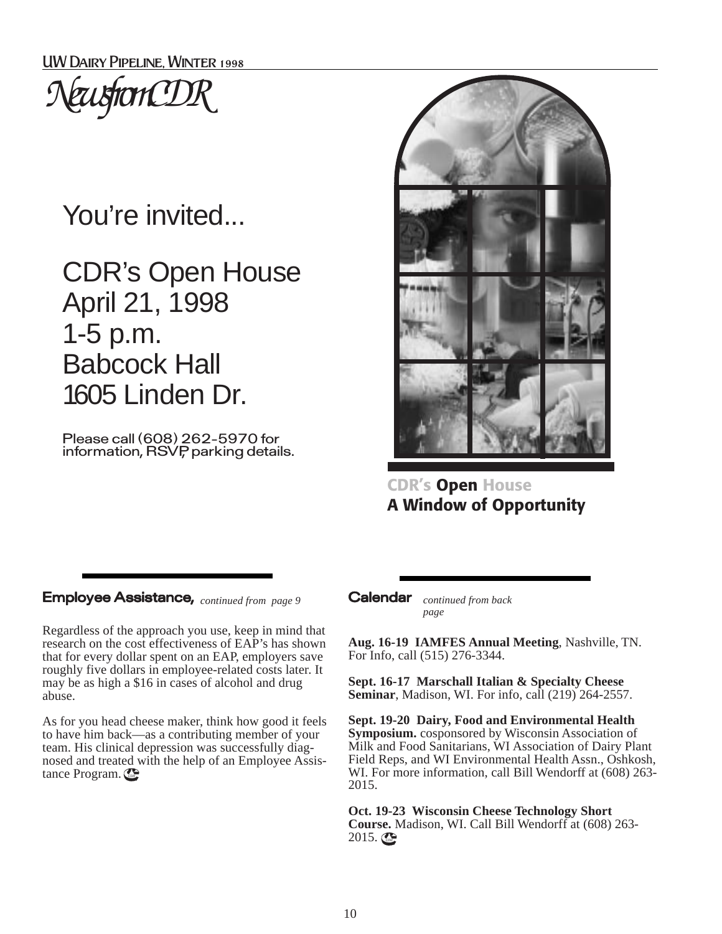

# You're invited...

CDR's Open House April 21, 1998 1-5 p.m. Babcock Hall 1605 Linden Dr.

Please call (608) 262-5970 for information, RSVP, parking details.



**CDR's Open House A Window of Opportunity**

#### Employee Assistance, *continued from page 9*

Regardless of the approach you use, keep in mind that research on the cost effectiveness of EAP's has shown that for every dollar spent on an EAP, employers save roughly five dollars in employee-related costs later. It may be as high a \$16 in cases of alcohol and drug abuse.

As for you head cheese maker, think how good it feels to have him back—as a contributing member of your team. His clinical depression was successfully diagnosed and treated with the help of an Employee Assistance Program.

Calendar *continued from back page*

**Aug. 16-19 IAMFES Annual Meeting**, Nashville, TN. For Info, call (515) 276-3344.

**Sept. 16-17 Marschall Italian & Specialty Cheese Seminar**, Madison, WI. For info, call (219) 264-2557.

**Sept. 19-20 Dairy, Food and Environmental Health Symposium.** cosponsored by Wisconsin Association of Milk and Food Sanitarians, WI Association of Dairy Plant Field Reps, and WI Environmental Health Assn., Oshkosh, WI. For more information, call Bill Wendorff at (608) 263- 2015.

**Oct. 19-23 Wisconsin Cheese Technology Short Course.** Madison, WI. Call Bill Wendorff at (608) 263-  $2015.$   $\odot$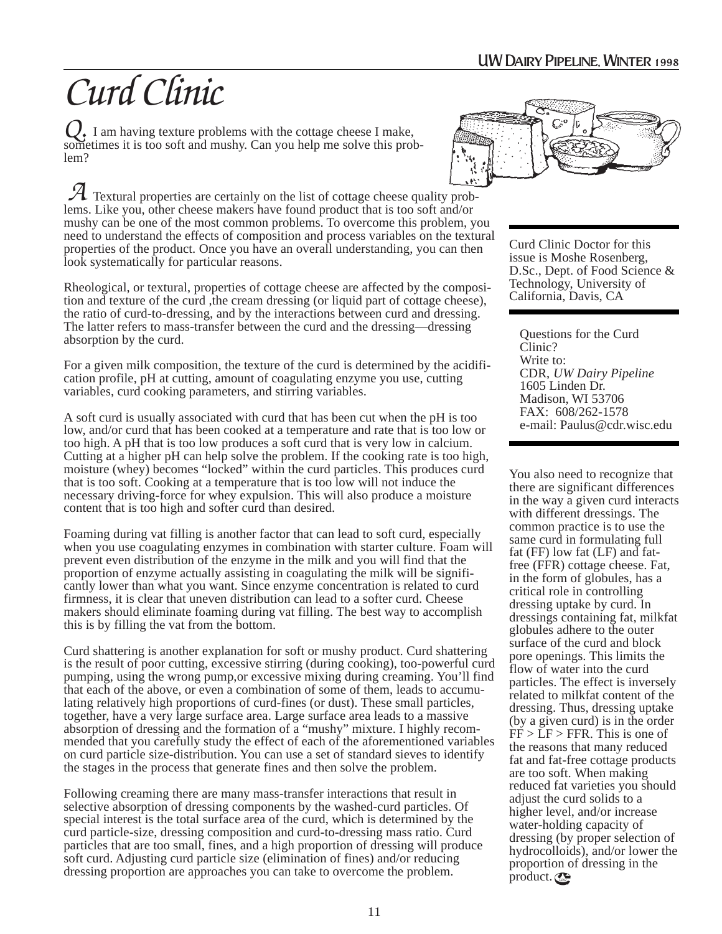# *Curd Clinic*

Q. I am having texture problems with the cottage cheese I make, sometimes it is too soft and mushy. Can you help me solve this prosometimes it is too soft and mushy. Can you help me solve this problem?

 Textural properties are certainly on the list of cottage cheese quality prob-Fractural properties are certainly on the list of cottage cheese quality problems. Like you, other cheese makers have found product that is too soft and/or mushy can be one of the most common problems. To overcome this problem, you need to understand the effects of composition and process variables on the textural properties of the product. Once you have an overall understanding, you can then look systematically for particular reasons.

Rheological, or textural, properties of cottage cheese are affected by the composition and texture of the curd ,the cream dressing (or liquid part of cottage cheese), the ratio of curd-to-dressing, and by the interactions between curd and dressing. The latter refers to mass-transfer between the curd and the dressing—dressing absorption by the curd.

For a given milk composition, the texture of the curd is determined by the acidification profile, pH at cutting, amount of coagulating enzyme you use, cutting variables, curd cooking parameters, and stirring variables.

A soft curd is usually associated with curd that has been cut when the pH is too low, and/or curd that has been cooked at a temperature and rate that is too low or too high. A pH that is too low produces a soft curd that is very low in calcium. Cutting at a higher pH can help solve the problem. If the cooking rate is too high, moisture (whey) becomes "locked" within the curd particles. This produces curd that is too soft. Cooking at a temperature that is too low will not induce the necessary driving-force for whey expulsion. This will also produce a moisture content that is too high and softer curd than desired.

Foaming during vat filling is another factor that can lead to soft curd, especially when you use coagulating enzymes in combination with starter culture. Foam will prevent even distribution of the enzyme in the milk and you will find that the proportion of enzyme actually assisting in coagulating the milk will be significantly lower than what you want. Since enzyme concentration is related to curd firmness, it is clear that uneven distribution can lead to a softer curd. Cheese makers should eliminate foaming during vat filling. The best way to accomplish this is by filling the vat from the bottom.

Curd shattering is another explanation for soft or mushy product. Curd shattering is the result of poor cutting, excessive stirring (during cooking), too-powerful curd pumping, using the wrong pump,or excessive mixing during creaming. You'll find that each of the above, or even a combination of some of them, leads to accumulating relatively high proportions of curd-fines (or dust). These small particles, together, have a very large surface area. Large surface area leads to a massive absorption of dressing and the formation of a "mushy" mixture. I highly recommended that you carefully study the effect of each of the aforementioned variables on curd particle size-distribution. You can use a set of standard sieves to identify the stages in the process that generate fines and then solve the problem.

Following creaming there are many mass-transfer interactions that result in selective absorption of dressing components by the washed-curd particles. Of special interest is the total surface area of the curd, which is determined by the curd particle-size, dressing composition and curd-to-dressing mass ratio. Curd particles that are too small, fines, and a high proportion of dressing will produce soft curd. Adjusting curd particle size (elimination of fines) and/or reducing dressing proportion are approaches you can take to overcome the problem.



Curd Clinic Doctor for this issue is Moshe Rosenberg, D.Sc., Dept. of Food Science & Technology, University of California, Davis, CA

Questions for the Curd Clinic? Write to: CDR, *UW Dairy Pipeline* 1605 Linden Dr. Madison, WI 53706 FAX: 608/262-1578 e-mail: Paulus@cdr.wisc.edu

You also need to recognize that there are significant differences in the way a given curd interacts with different dressings. The common practice is to use the same curd in formulating full fat (FF) low fat (LF) and fatfree (FFR) cottage cheese. Fat, in the form of globules, has a critical role in controlling dressing uptake by curd. In dressings containing fat, milkfat globules adhere to the outer surface of the curd and block pore openings. This limits the flow of water into the curd particles. The effect is inversely related to milkfat content of the dressing. Thus, dressing uptake (by a given curd) is in the order  $FF > LF > FFR$ . This is one of the reasons that many reduced fat and fat-free cottage products are too soft. When making reduced fat varieties you should adjust the curd solids to a higher level, and/or increase water-holding capacity of dressing (by proper selection of hydrocolloids), and/or lower the proportion of dressing in the product.